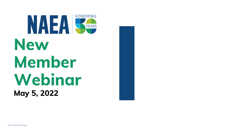# **HONORING** NAEA New Member Webinar May 5, 2022

2021 @NAEA All Rights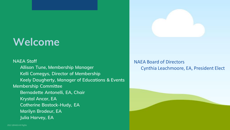### Welcome

NAEA Staff Allison Tune, Membership Manager Kelli Comegys, Director of Membership Keely Daugherty, Manager of Educations & Events Membership Committee Bernadette Antonelli, EA, Chair Krystal Ancar, EA Catherine Bostock-Hudy, EA Marilyn Brodeur, EA Julia Harvey, EA



### NAEA Board of Directors Cynthia Leachmoore, EA, President Elect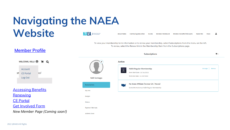### Navigating the NAEA **Website NAEA** > Mational Association **About NAEA**

To view your membership term information or to renew your membership, select Subscriptions from the menu on the left. To renew, select the Renew link in the Membership Item from the Subscriptions page.

[Member Profile](https://naea.force.com/s/)

**NAEA PAC Continuing Education Member WebBoard Member Benefits/Discounts** Store **Events** 

| <b>Subscriptions</b>           | è۳              |
|--------------------------------|-----------------|
|                                |                 |
| mbership                       | Manage<br>Renew |
| 4/2021                         |                 |
| /2022                          |                 |
| (former CA / None)             |                 |
| <b>JAEA Regular Membership</b> |                 |

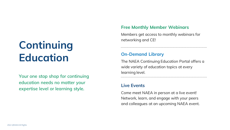### Free Monthly Member Webinars

Members get access to monthly webinars for

# Continuing networking and CE! Education

Your one stop shop for continuing education needs no matter your expertise level or learning style.

### On-Demand Library

The NAEA Continuing Education Portal offers a wide variety of education topics at every learning level.

#### Live Events

Come meet NAEA in person at a live event! Network, learn, and engage with your peers and colleagues at an upcoming NAEA event.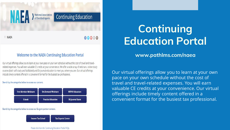National Association

### **Continuing Education**

**NAEA** 

### 00000

#### **Welcome to the NAEA Continuing Education Portal**

Our virtual offerings allow you to learn at your own pace on your own schedule without the cost of travel and travelrelated expenses. You will earn valuable CE credits at your convenience. We offer a wide array of webinars, online study courses (both self-study and facilitated) and EA Journal education to meet you where you are. Our virtual offerings include timely content offered in a convenient format for the busiest tax professional.

Search by the categories below to access our content.



Search by the categories below to access our Surgent partner content.

**Income Tax School Tax Experts Corner** 

Please click here for Continuing Education Portal FAQs.

# Continuing Education Portal

www.pathlms.com/naea

Our virtual offerings allow you to learn at your own pace on your own schedule without the cost of travel and travel-related expenses. You will earn valuable CE credits at your convenience. Our virtual offerings include timely content offered in a convenient format for the busiest tax professional.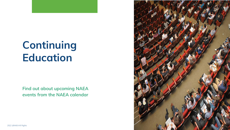## Continuing Education

Find out about upcoming NAEA events from the NAEA calendar

2022 @NAEA All Rights

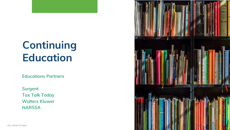# Continuing Education

Surgent Tax Talk Today Wolters Kluwer **NARSSA** 

Educations Partners

2022 @NAEA All Rights

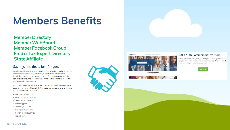### Members Benefits





#### **NAEA 50th Commemorative Store**

Grab your 50<sup>th</sup> anniversary swag and show your EA pride by shopping our company store. From messenger bags and drinkware to dress and casual shirts, we've got your celebration swag here.

hop Nov

**NAEA COLLECTION** 

Member Directory Member WebBoard Member Facebook Group Find a Tax Expert Directory State Affiliate

#### Savings and deals just for you.

Creating the Member Discount Program is our way of welcoming you to the Enrolled Agent community. Whether you are here to advance your knowledge or grow a professional network of tax practitioners, NAEA is committed to ensuring our members get the best discounts on products and services for everyday use.

NAEA has collaborated with generous providers to meet your needs. Take advantage of remarkable deals that will save you more money and improve your daily business operations!

- Commercial Insurances
- Education and Publications
- Travel and Automobile
- Office Supplies
- Technology Services
- Package Delivery Service
- Human Resource Service
- Apparel Service





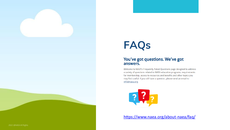# FAQs

### answers.

Welcome to NAEA's Frequently Asked Questions page designed to address a variety of questions related to NAEA education programs, requirements for membership, access to resources and benefits and other topics you may find useful. If you still have a question, please send an email to info@naea.org.



<https://www.naea.org/about-naea/faq/>

#### You've got questions. We've got

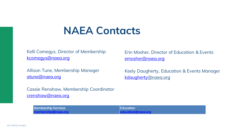### NAEA Contacts

Kelli Comegys, Director of Membership [kcomegys@naea.org](mailto:kcomegys@naea.org)

Allison Tune, Membership Manager [atune@naea.org](mailto:atune@naea.org)

Cassie Renshaw, Membership Coordinator [crenshaw@naea.org](mailto:crenshaw@naea.org)



Erin Mosher, Director of Education & Events [emosher@naea.org](mailto:kcomegys@naea.org)

Keely Daugherty, Education & Events Manager [kdaugherty@naea.org](mailto:atune@naea.org)

Membership Services [membership@naea.org](mailto:membership@naea.org) Education [education@naea.org](mailto:education@naea.org)